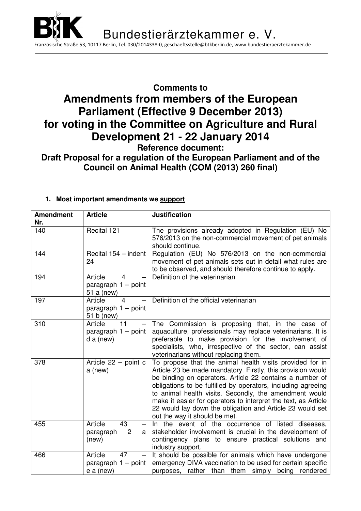

## **Comments to Amendments from members of the European Parliament (Effective 9 December 2013) for voting in the Committee on Agriculture and Rural Development 21 - 22 January 2014 Reference document:**

## **Draft Proposal for a regulation of the European Parliament and of the Council on Animal Health (COM (2013) 260 final)**

| <b>Amendment</b> | <b>Article</b>                                                           | <b>Justification</b>                                                                                                                                                                                                                                                                                                                                                                                                                                                          |  |  |
|------------------|--------------------------------------------------------------------------|-------------------------------------------------------------------------------------------------------------------------------------------------------------------------------------------------------------------------------------------------------------------------------------------------------------------------------------------------------------------------------------------------------------------------------------------------------------------------------|--|--|
| Nr.              |                                                                          |                                                                                                                                                                                                                                                                                                                                                                                                                                                                               |  |  |
| 140              | Recital 121                                                              | The provisions already adopted in Regulation (EU) No<br>576/2013 on the non-commercial movement of pet animals<br>should continue.                                                                                                                                                                                                                                                                                                                                            |  |  |
| 144              | Recital 154 - indent<br>24                                               | Regulation (EU) No 576/2013 on the non-commercial<br>movement of pet animals sets out in detail what rules are<br>to be observed, and should therefore continue to apply.                                                                                                                                                                                                                                                                                                     |  |  |
| 194              | Article<br>$\overline{4}$<br>paragraph $1 -$ point<br>51 a (new)         | Definition of the veterinarian                                                                                                                                                                                                                                                                                                                                                                                                                                                |  |  |
| 197              | Article<br>4<br>paragraph 1 - point<br>51 b (new)                        | Definition of the official veterinarian                                                                                                                                                                                                                                                                                                                                                                                                                                       |  |  |
| 310              | Article<br>11<br>paragraph $1 -$ point<br>$d$ a (new)                    | The Commission is proposing that, in the case of<br>aquaculture, professionals may replace veterinarians. It is<br>preferable to make provision for the involvement of<br>specialists, who, irrespective of the sector, can assist<br>veterinarians without replacing them.                                                                                                                                                                                                   |  |  |
| 378              | Article $22 -$ point c<br>a (new)                                        | To propose that the animal health visits provided for in<br>Article 23 be made mandatory. Firstly, this provision would<br>be binding on operators. Article 22 contains a number of<br>obligations to be fulfilled by operators, including agreeing<br>to animal health visits. Secondly, the amendment would<br>make it easier for operators to interpret the text, as Article<br>22 would lay down the obligation and Article 23 would set<br>out the way it should be met. |  |  |
| 455              | Article<br>43<br>$\qquad \qquad -$<br>2<br>paragraph<br>a<br>(new)       | In the event of the occurrence of listed diseases,<br>stakeholder involvement is crucial in the development of<br>contingency plans to ensure practical solutions and<br>industry support.                                                                                                                                                                                                                                                                                    |  |  |
| 466              | Article<br>47<br>$\qquad \qquad -$<br>paragraph $1 -$ point<br>e a (new) | It should be possible for animals which have undergone<br>emergency DIVA vaccination to be used for certain specific<br>purposes, rather than them simply being rendered                                                                                                                                                                                                                                                                                                      |  |  |

## **1. Most important amendments we support**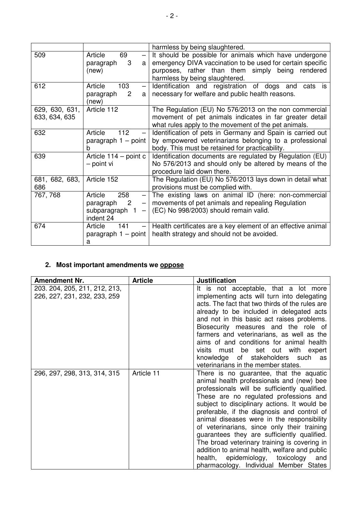|                                 |                                                                                                                                                                       | harmless by being slaughtered.                                                                                                                                                                             |
|---------------------------------|-----------------------------------------------------------------------------------------------------------------------------------------------------------------------|------------------------------------------------------------------------------------------------------------------------------------------------------------------------------------------------------------|
| 509                             | Article<br>69<br>$\overline{\phantom{0}}$<br>3<br>paragraph<br>a l<br>(new)                                                                                           | It should be possible for animals which have undergone<br>emergency DIVA vaccination to be used for certain specific<br>purposes, rather than them simply being rendered<br>harmless by being slaughtered. |
| 612                             | Article<br>103<br>$\overline{\phantom{0}}$<br>$\overline{c}$<br>paragraph<br>(new)                                                                                    | Identification and registration of dogs and<br>cats is<br>a   necessary for welfare and public health reasons.                                                                                             |
| 629, 630, 631,<br>633, 634, 635 | Article 112                                                                                                                                                           | The Regulation (EU) No 576/2013 on the non commercial<br>movement of pet animals indicates in far greater detail<br>what rules apply to the movement of the pet animals.                                   |
| 632                             | Article<br>112<br>paragraph 1 - point<br>h                                                                                                                            | Identification of pets in Germany and Spain is carried out<br>by empowered veterinarians belonging to a professional<br>body. This must be retained for practicability.                                    |
| 639                             | Article $114 -$ point c<br>- point vi                                                                                                                                 | Identification documents are regulated by Regulation (EU)<br>No 576/2013 and should only be altered by means of the<br>procedure laid down there.                                                          |
| 681, 682, 683,<br>686           | Article 152                                                                                                                                                           | The Regulation (EU) No 576/2013 lays down in detail what<br>provisions must be complied with.                                                                                                              |
| 767, 768                        | Article<br>258<br>$\qquad \qquad -$<br>$\overline{\phantom{a}}^2$<br>paragraph<br>$\overline{\phantom{0}}$<br>subparagraph 1<br>$\overline{\phantom{0}}$<br>indent 24 | The existing laws on animal ID (here: non-commercial<br>movements of pet animals and repealing Regulation<br>(EC) No 998/2003) should remain valid.                                                        |
| 674                             | Article<br>141<br>a                                                                                                                                                   | $-$ Health certificates are a key element of an effective animal<br>paragraph $1$ – point   health strategy and should not be avoided.                                                                     |

## **2. Most important amendments we oppose**

| <b>Amendment Nr.</b>                                          | <b>Article</b> | <b>Justification</b>                                                                                                                                                                                                                                                                                                                                                                                                                                                                                                                                                                                                |
|---------------------------------------------------------------|----------------|---------------------------------------------------------------------------------------------------------------------------------------------------------------------------------------------------------------------------------------------------------------------------------------------------------------------------------------------------------------------------------------------------------------------------------------------------------------------------------------------------------------------------------------------------------------------------------------------------------------------|
| 203. 204, 205, 211, 212, 213,<br>226, 227, 231, 232, 233, 259 |                | It is not acceptable, that a lot more<br>implementing acts will turn into delegating<br>acts. The fact that two thirds of the rules are<br>already to be included in delegated acts<br>and not in this basic act raises problems.<br>Biosecurity measures and the role of<br>farmers and veterinarians, as well as the<br>aims of and conditions for animal health<br>visits must be set out with expert<br>knowledge of stakeholders such<br>as<br>veterinarians in the member states.                                                                                                                             |
| 296, 297, 298, 313, 314, 315                                  | Article 11     | There is no guarantee, that the aquatic<br>animal health professionals and (new) bee<br>professionals will be sufficiently qualified.<br>These are no regulated professions and<br>subject to disciplinary actions. It would be<br>preferable, if the diagnosis and control of<br>animal diseases were in the responsibility<br>of veterinarians, since only their training<br>guarantees they are sufficiently qualified.<br>The broad veterinary training is covering in<br>addition to animal health, welfare and public<br>epidemiology, toxicology<br>health,<br>and<br>pharmacology. Individual Member States |